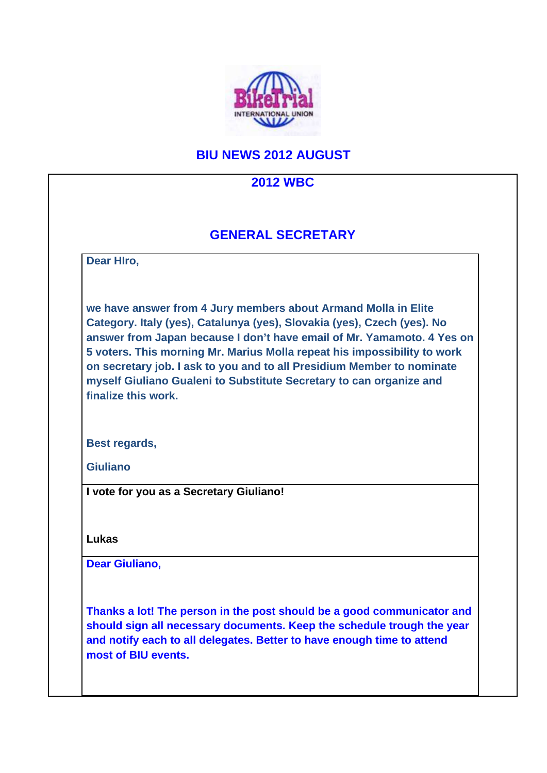

## **BIU NEWS 2012 AUGUST**

### **2012 WBC**

### **GENERAL SECRETARY**

**Dear HIro,**

**we have answer from 4 Jury members about Armand Molla in Elite Category. Italy (yes), Catalunya (yes), Slovakia (yes), Czech (yes). No answer from Japan because I don't have email of Mr. Yamamoto. 4 Yes on 5 voters. This morning Mr. Marius Molla repeat his impossibility to work on secretary job. I ask to you and to all Presidium Member to nominate myself Giuliano Gualeni to Substitute Secretary to can organize and finalize this work.**

**Best regards,**

**Giuliano**

**I vote for you as a Secretary Giuliano!**

**Lukas**

**Dear Giuliano,**

**Thanks a lot! The person in the post should be a good communicator and should sign all necessary documents. Keep the schedule trough the year and notify each to all delegates. Better to have enough time to attend most of BIU events.**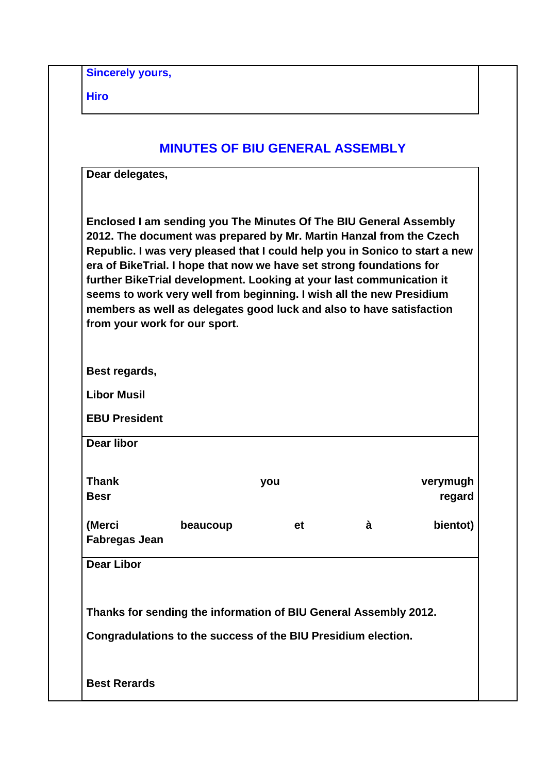**Sincerely yours,**

**Hiro**

|                                                                                                                                                                                                                                                                                                                                                                                                                                                                                                                                                          | <b>MINUTES OF BIU GENERAL ASSEMBLY</b> |   |                    |
|----------------------------------------------------------------------------------------------------------------------------------------------------------------------------------------------------------------------------------------------------------------------------------------------------------------------------------------------------------------------------------------------------------------------------------------------------------------------------------------------------------------------------------------------------------|----------------------------------------|---|--------------------|
| Dear delegates,                                                                                                                                                                                                                                                                                                                                                                                                                                                                                                                                          |                                        |   |                    |
| Enclosed I am sending you The Minutes Of The BIU General Assembly<br>2012. The document was prepared by Mr. Martin Hanzal from the Czech<br>Republic. I was very pleased that I could help you in Sonico to start a new<br>era of BikeTrial. I hope that now we have set strong foundations for<br>further BikeTrial development. Looking at your last communication it<br>seems to work very well from beginning. I wish all the new Presidium<br>members as well as delegates good luck and also to have satisfaction<br>from your work for our sport. |                                        |   |                    |
| Best regards,                                                                                                                                                                                                                                                                                                                                                                                                                                                                                                                                            |                                        |   |                    |
| <b>Libor Musil</b>                                                                                                                                                                                                                                                                                                                                                                                                                                                                                                                                       |                                        |   |                    |
|                                                                                                                                                                                                                                                                                                                                                                                                                                                                                                                                                          |                                        |   |                    |
| <b>EBU President</b>                                                                                                                                                                                                                                                                                                                                                                                                                                                                                                                                     |                                        |   |                    |
| <b>Dear libor</b>                                                                                                                                                                                                                                                                                                                                                                                                                                                                                                                                        |                                        |   |                    |
| <b>Thank</b><br><b>Besr</b>                                                                                                                                                                                                                                                                                                                                                                                                                                                                                                                              | you                                    |   |                    |
| (Merci<br>beaucoup<br><b>Fabregas Jean</b>                                                                                                                                                                                                                                                                                                                                                                                                                                                                                                               | et                                     | à | bientot)           |
| <b>Dear Libor</b>                                                                                                                                                                                                                                                                                                                                                                                                                                                                                                                                        |                                        |   | verymugh<br>regard |
|                                                                                                                                                                                                                                                                                                                                                                                                                                                                                                                                                          |                                        |   |                    |
| Thanks for sending the information of BIU General Assembly 2012.                                                                                                                                                                                                                                                                                                                                                                                                                                                                                         |                                        |   |                    |
| Congradulations to the success of the BIU Presidium election.                                                                                                                                                                                                                                                                                                                                                                                                                                                                                            |                                        |   |                    |
|                                                                                                                                                                                                                                                                                                                                                                                                                                                                                                                                                          |                                        |   |                    |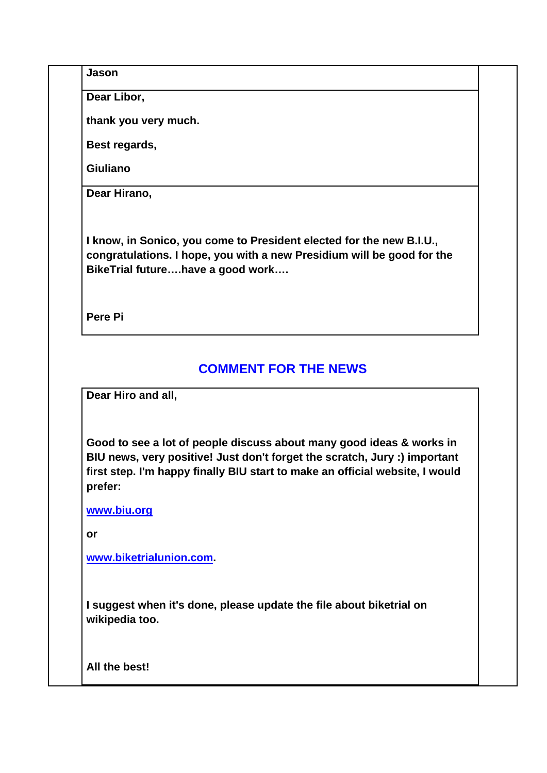**Jason**

**Dear Libor,**

**thank you very much.**

**Best regards,**

**Giuliano**

**Dear Hirano,**

**I know, in Sonico, you come to President elected for the new B.I.U., congratulations. I hope, you with a new Presidium will be good for the BikeTrial future….have a good work….**

**Pere Pi**

# **COMMENT FOR THE NEWS**

**Dear Hiro and all,**

**Good to see a lot of people discuss about many good ideas & works in BIU news, very positive! Just don't forget the scratch, Jury :) important first step. I'm happy finally BIU start to make an official website, I would prefer:**

**www.biu.org**

**or**

**www.biketrialunion.com.**

**I suggest when it's done, please update the file about biketrial on wikipedia too.**

**All the best!**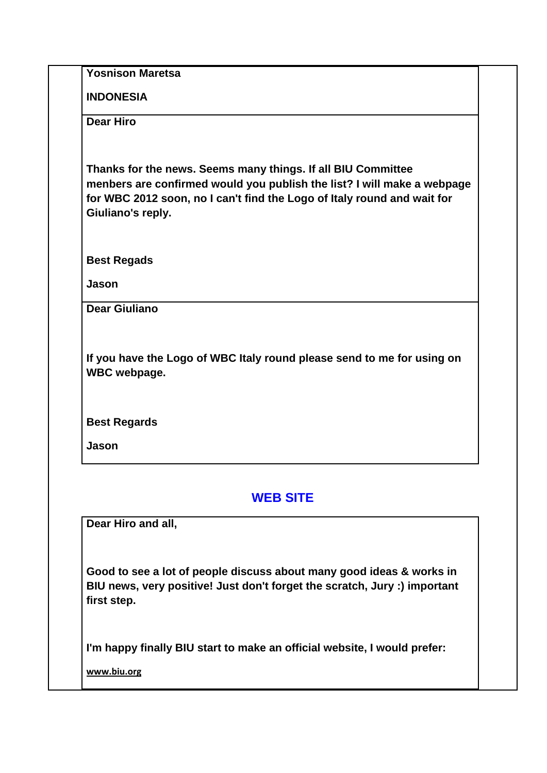**Yosnison Maretsa**

**INDONESIA**

**Dear Hiro**

**Thanks for the news. Seems many things. If all BIU Committee menbers are confirmed would you publish the list? I will make a webpage for WBC 2012 soon, no I can't find the Logo of Italy round and wait for Giuliano's reply.**

**Best Regads**

**Jason**

**Dear Giuliano** 

**If you have the Logo of WBC Italy round please send to me for using on WBC webpage.**

**Best Regards**

**Jason**

### **WEB SITE**

**Dear Hiro and all,**

**Good to see a lot of people discuss about many good ideas & works in BIU news, very positive! Just don't forget the scratch, Jury :) important first step.**

**I'm happy finally BIU start to make an official website, I would prefer:**

**www.biu.org**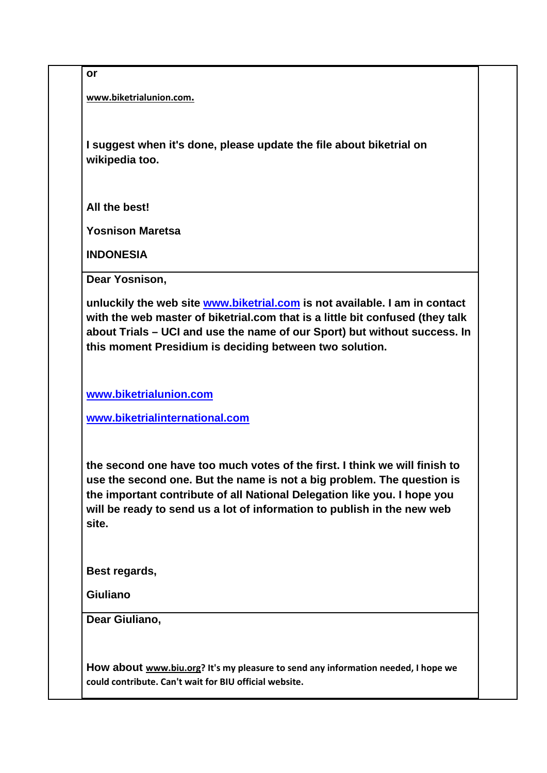**or**

**www.biketrialunion.com.**

**I suggest when it's done, please update the file about biketrial on wikipedia too.**

**All the best!**

**Yosnison Maretsa**

**INDONESIA**

**Dear Yosnison,**

**unluckily the web site www.biketrial.com is not available. I am in contact with the web master of biketrial.com that is a little bit confused (they talk about Trials – UCI and use the name of our Sport) but without success. In this moment Presidium is deciding between two solution.**

**www.biketrialunion.com**

**www.biketrialinternational.com**

**the second one have too much votes of the first. I think we will finish to use the second one. But the name is not a big problem. The question is the important contribute of all National Delegation like you. I hope you will be ready to send us a lot of information to publish in the new web site.**

**Best regards,**

**Giuliano**

**Dear Giuliano,**

**How about www.biu.org? It's my pleasure to send any information needed, I hope we could contribute. Can't wait for BIU official website.**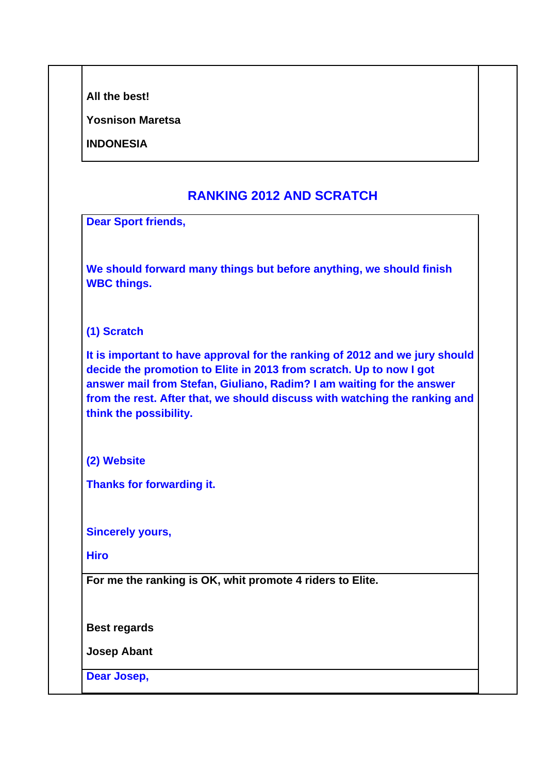| All the best! |
|---------------|
|               |

**Yosnison Maretsa**

**INDONESIA**

### **RANKING 2012 AND SCRATCH**

**Dear Sport friends,**

**We should forward many things but before anything, we should finish WBC things.** 

#### **(1) Scratch**

**It is important to have approval for the ranking of 2012 and we jury should decide the promotion to Elite in 2013 from scratch. Up to now I got answer mail from Stefan, Giuliano, Radim? I am waiting for the answer from the rest. After that, we should discuss with watching the ranking and think the possibility.**

**(2) Website**

**Thanks for forwarding it.**

**Sincerely yours,**

**Hiro**

**For me the ranking is OK, whit promote 4 riders to Elite.**

**Best regards**

**Josep Abant**

**Dear Josep,**